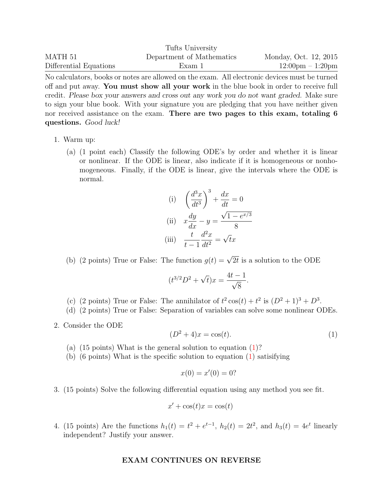|                        | Tufts University          |                                    |
|------------------------|---------------------------|------------------------------------|
| MATH 51                | Department of Mathematics | Monday, Oct. 12, 2015              |
| Differential Equations | Exam 1                    | $12:00 \text{pm} - 1:20 \text{pm}$ |

No calculators, books or notes are allowed on the exam. All electronic devices must be turned off and put away. You must show all your work in the blue book in order to receive full credit. Please box your answers and cross out any work you do not want graded. Make sure to sign your blue book. With your signature you are pledging that you have neither given nor received assistance on the exam. There are two pages to this exam, totaling 6 questions. Good luck!

- 1. Warm up:
	- (a) (1 point each) Classify the following ODE's by order and whether it is linear or nonlinear. If the ODE is linear, also indicate if it is homogeneous or nonhomogeneous. Finally, if the ODE is linear, give the intervals where the ODE is normal.

(i) 
$$
\left(\frac{d^3x}{dt^3}\right)^3 + \frac{dx}{dt} = 0
$$
  
\n(ii) 
$$
x\frac{dy}{dx} - y = \frac{\sqrt{1 - e^{x/3}}}{8}
$$
  
\n(iii) 
$$
\frac{t}{t-1}\frac{d^2x}{dt^2} = \sqrt{t}x
$$

(b) (2 points) True or False: The function  $g(t) = \sqrt{2t}$  is a solution to the ODE

$$
(t^{3/2}D^2 + \sqrt{t})x = \frac{4t - 1}{\sqrt{8}}.
$$

- (c) (2 points) True or False: The annihilator of  $t^2 \cos(t) + t^2$  is  $(D^2 + 1)^3 + D^3$ .
- (d) (2 points) True or False: Separation of variables can solve some nonlinear ODEs.
- 2. Consider the ODE

<span id="page-0-0"></span>
$$
(D2 + 4)x = cos(t).
$$
 (1)

- (a) (15 points) What is the general solution to equation  $(1)$ ?
- (b) (6 points) What is the specific solution to equation [\(1\)](#page-0-0) satisifying

$$
x(0) = x'(0) = 0?
$$

3. (15 points) Solve the following differential equation using any method you see fit.

$$
x' + \cos(t)x = \cos(t)
$$

4. (15 points) Are the functions  $h_1(t) = t^2 + e^{t-1}$ ,  $h_2(t) = 2t^2$ , and  $h_3(t) = 4e^t$  linearly independent? Justify your answer.

## EXAM CONTINUES ON REVERSE